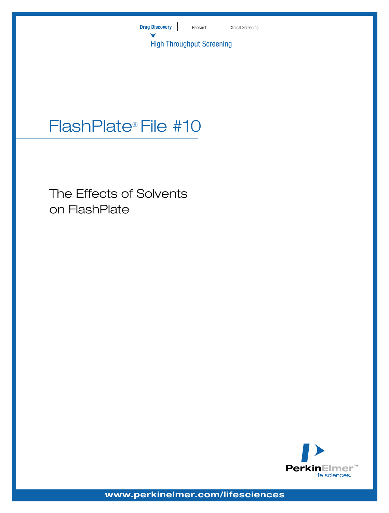

# FlashPlate® File #10

The Effects of Solvents on FlashPlate



**www.perkinelmer.com/lifesciences**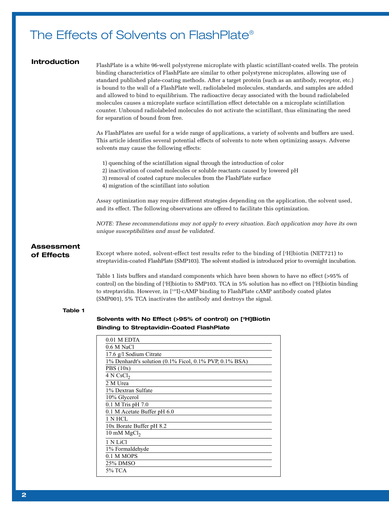# The Effects of Solvents on FlashPlate®

## **Introduction**

FlashPlate is a white 96-well polystyrene microplate with plastic scintillant-coated wells. The protein binding characteristics of FlashPlate are similar to other polystyrene microplates, allowing use of standard published plate-coating methods. After a target protein (such as an antibody, receptor, etc.) is bound to the wall of a FlashPlate well, radiolabeled molecules, standards, and samples are added and allowed to bind to equilibrium. The radioactive decay associated with the bound radiolabeled molecules causes a microplate surface scintillation effect detectable on a microplate scintillation counter. Unbound radiolabeled molecules do not activate the scintillant, thus eliminating the need for separation of bound from free.

As FlashPlates are useful for a wide range of applications, a variety of solvents and buffers are used. This article identifies several potential effects of solvents to note when optimizing assays. Adverse solvents may cause the following effects:

- 1) quenching of the scintillation signal through the introduction of color
- 2) inactivation of coated molecules or soluble reactants caused by lowered pH
- 3) removal of coated capture molecules from the FlashPlate surface
- 4) migration of the scintillant into solution

Assay optimization may require different strategies depending on the application, the solvent used, and its effect. The following observations are offered to facilitate this optimization.

*NOTE: These recommendations may not apply to every situation. Each application may have its own unique susceptibilities and must be validated.*

# **Assessment of Effects**

Except where noted, solvent-effect test results refer to the binding of [3 H]biotin (NET721) to streptavidin-coated FlashPlate (SMP103). The solvent studied is introduced prior to overnight incubation.

Table 1 lists buffers and standard components which have been shown to have no effect (>95% of control) on the binding of [3 H]biotin to SMP103. TCA in 5% solution has no effect on [3 H]biotin binding to streptavidin. However, in [125I]-cAMP binding to FlashPlate cAMP antibody coated plates (SMP001), 5% TCA inactivates the antibody and destroys the signal.

#### **Table 1**

# **Solvents with No Effect (>95% of control) on [3H]Biotin Binding to Streptavidin-Coated FlashPlate**

| 0.01 M EDTA                                                         |
|---------------------------------------------------------------------|
| 0.6 M NaCl                                                          |
| 17.6 g/l Sodium Citrate                                             |
| $1\%$ Denhardt's solution $(0.1\%$ Ficol, $0.1\%$ PVP, $0.1\%$ BSA) |
| PBS(10x)                                                            |
| 4 N CsCl <sub>2</sub>                                               |
| 2 M Urea                                                            |
| 1% Dextran Sulfate                                                  |
| 10% Glycerol                                                        |
| $0.1$ M Tris pH $7.0$                                               |
| 0.1 M Acetate Buffer pH 6.0                                         |
| 1 N HCL                                                             |
| 10x Borate Buffer pH 8.2                                            |
| 10 mM $MgCl2$                                                       |
| 1 N LiCl                                                            |
| 1% Formaldehyde                                                     |
| 0.1 M MOPS                                                          |
| 25% DMSO                                                            |
| 5% TCA                                                              |
|                                                                     |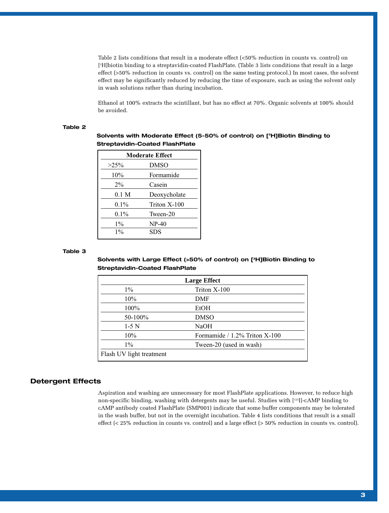Table 2 lists conditions that result in a moderate effect (<50% reduction in counts vs. control) on [3 H]biotin binding to a streptavidin-coated FlashPlate. (Table 3 lists conditions that result in a large effect (>50% reduction in counts vs. control) on the same testing protocol.) In most cases, the solvent effect may be significantly reduced by reducing the time of exposure, such as using the solvent only in wash solutions rather than during incubation.

Ethanol at 100% extracts the scintillant, but has no effect at 70%. Organic solvents at 100% should be avoided.

#### **Table 2**

**Solvents with Moderate Effect (5-50% of control) on [3H]Biotin Binding to Streptavidin-Coated FlashPlate**

| <b>Moderate Effect</b> |              |  |  |
|------------------------|--------------|--|--|
| $>25\%$                | <b>DMSO</b>  |  |  |
| 10%                    | Formamide    |  |  |
| $2\%$                  | Casein       |  |  |
| 0.1 M                  | Deoxycholate |  |  |
| $0.1\%$                | Triton X-100 |  |  |
| $0.1\%$                | Tween-20     |  |  |
| $1\%$                  | $NP-40$      |  |  |
| $1\%$                  | SDS          |  |  |

#### **Table 3**

# **Solvents with Large Effect (>50% of control) on [3H]Biotin Binding to Streptavidin-Coated FlashPlate**

| <b>Large Effect</b>      |                                  |  |  |
|--------------------------|----------------------------------|--|--|
| $1\%$                    | Triton X-100                     |  |  |
| 10%                      | DMF                              |  |  |
| $100\%$                  | EtOH                             |  |  |
| 50-100%                  | <b>DMSO</b>                      |  |  |
| $1-5$ N                  | <b>NaOH</b>                      |  |  |
| 10%                      | Formamide $/ 1.2\%$ Triton X-100 |  |  |
| $1\%$                    | Tween-20 (used in wash)          |  |  |
| Flash UV light treatment |                                  |  |  |

## **Detergent Effects**

Aspiration and washing are unnecessary for most FlashPlate applications. However, to reduce high non-specific binding, washing with detergents may be useful. Studies with [125I]-cAMP binding to cAMP antibody coated FlashPlate (SMP001) indicate that some buffer components may be tolerated in the wash buffer, but not in the overnight incubation. Table 4 lists conditions that result is a small effect (< 25% reduction in counts vs. control) and a large effect (> 50% reduction in counts vs. control).